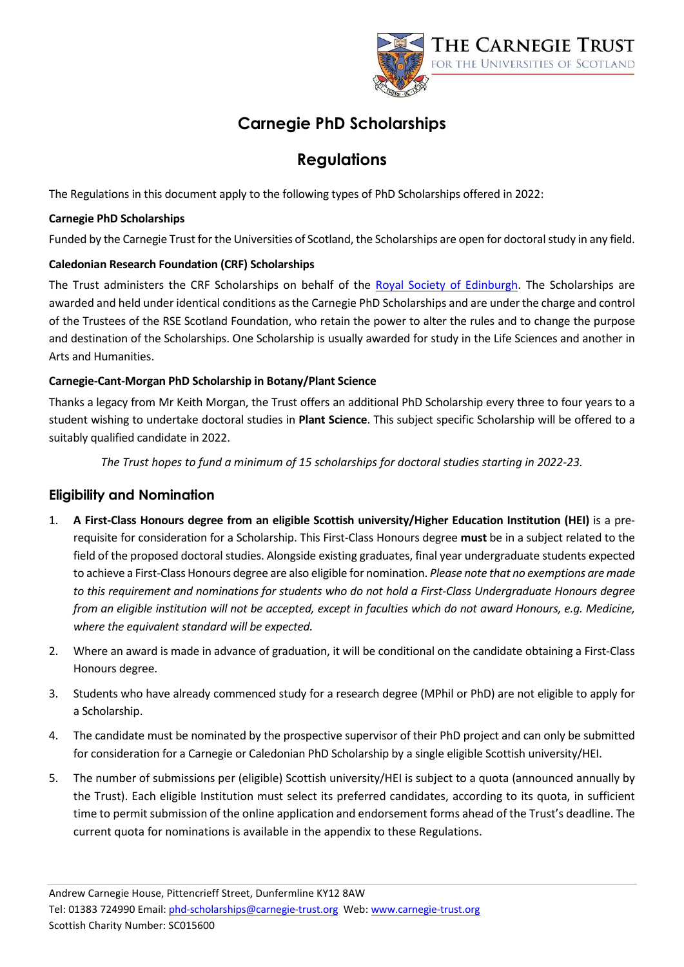

# **Carnegie PhD Scholarships**

## **Regulations**

The Regulations in this document apply to the following types of PhD Scholarships offered in 2022:

#### **Carnegie PhD Scholarships**

Funded by the Carnegie Trust for the Universities of Scotland, the Scholarships are open for doctoral study in any field.

#### **Caledonian Research Foundation (CRF) Scholarships**

The Trust administers the CRF Scholarships on behalf of the [Royal Society of Edinburgh.](http://www.rsescotlandfoundation.org.uk/) The Scholarships are awarded and held under identical conditions as the Carnegie PhD Scholarships and are under the charge and control of the Trustees of the RSE Scotland Foundation, who retain the power to alter the rules and to change the purpose and destination of the Scholarships. One Scholarship is usually awarded for study in the Life Sciences and another in Arts and Humanities.

#### **Carnegie-Cant-Morgan PhD Scholarship in Botany/Plant Science**

Thanks a legacy from Mr Keith Morgan, the Trust offers an additional PhD Scholarship every three to four years to a student wishing to undertake doctoral studies in **Plant Science**. This subject specific Scholarship will be offered to a suitably qualified candidate in 2022.

*The Trust hopes to fund a minimum of 15 scholarships for doctoral studies starting in 2022-23.*

### **Eligibility and Nomination**

- 1. **A First-Class Honours degree from an eligible Scottish university/Higher Education Institution (HEI)** is a prerequisite for consideration for a Scholarship. This First-Class Honours degree **must** be in a subject related to the field of the proposed doctoral studies. Alongside existing graduates, final year undergraduate students expected to achieve a First-Class Honours degree are also eligible for nomination. *Please note that no exemptions are made to this requirement and nominations for students who do not hold a First-Class Undergraduate Honours degree from an eligible institution will not be accepted, except in faculties which do not award Honours, e.g. Medicine, where the equivalent standard will be expected.*
- 2. Where an award is made in advance of graduation, it will be conditional on the candidate obtaining a First-Class Honours degree.
- 3. Students who have already commenced study for a research degree (MPhil or PhD) are not eligible to apply for a Scholarship.
- 4. The candidate must be nominated by the prospective supervisor of their PhD project and can only be submitted for consideration for a Carnegie or Caledonian PhD Scholarship by a single eligible Scottish university/HEI.
- 5. The number of submissions per (eligible) Scottish university/HEI is subject to a quota (announced annually by the Trust). Each eligible Institution must select its preferred candidates, according to its quota, in sufficient time to permit submission of the online application and endorsement forms ahead of the Trust's deadline. The current quota for nominations is available in the appendix to these Regulations.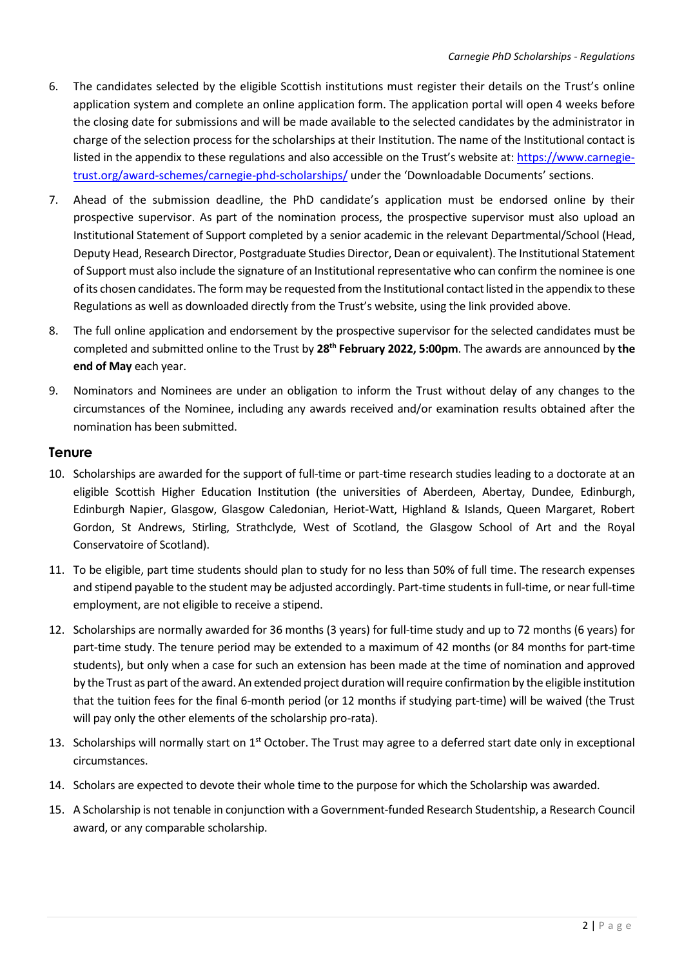- 6. The candidates selected by the eligible Scottish institutions must register their details on the Trust's online application system and complete an online application form. The application portal will open 4 weeks before the closing date for submissions and will be made available to the selected candidates by the administrator in charge of the selection process for the scholarships at their Institution. The name of the Institutional contact is listed in the appendix to these regulations and also accessible on the Trust's website at: [https://www.carnegie](https://www.carnegie-trust.org/award-schemes/carnegie-phd-scholarships/)[trust.org/award-schemes/carnegie-phd-scholarships/](https://www.carnegie-trust.org/award-schemes/carnegie-phd-scholarships/) under the 'Downloadable Documents' sections.
- 7. Ahead of the submission deadline, the PhD candidate's application must be endorsed online by their prospective supervisor. As part of the nomination process, the prospective supervisor must also upload an Institutional Statement of Support completed by a senior academic in the relevant Departmental/School (Head, Deputy Head, Research Director, Postgraduate Studies Director, Dean or equivalent). The Institutional Statement of Support must also include the signature of an Institutional representative who can confirm the nominee is one of its chosen candidates. The form may be requested from the Institutional contact listed in the appendix to these Regulations as well as downloaded directly from the Trust's website, using the link provided above.
- 8. The full online application and endorsement by the prospective supervisor for the selected candidates must be completed and submitted online to the Trust by **28th February 2022, 5:00pm**. The awards are announced by **the end of May** each year.
- 9. Nominators and Nominees are under an obligation to inform the Trust without delay of any changes to the circumstances of the Nominee, including any awards received and/or examination results obtained after the nomination has been submitted.

#### **Tenure**

- 10. Scholarships are awarded for the support of full-time or part-time research studies leading to a doctorate at an eligible Scottish Higher Education Institution (the universities of Aberdeen, Abertay, Dundee, Edinburgh, Edinburgh Napier, Glasgow, Glasgow Caledonian, Heriot-Watt, Highland & Islands, Queen Margaret, Robert Gordon, St Andrews, Stirling, Strathclyde, West of Scotland, the Glasgow School of Art and the Royal Conservatoire of Scotland).
- 11. To be eligible, part time students should plan to study for no less than 50% of full time. The research expenses and stipend payable to the student may be adjusted accordingly. Part-time students in full-time, or near full-time employment, are not eligible to receive a stipend.
- 12. Scholarships are normally awarded for 36 months (3 years) for full-time study and up to 72 months (6 years) for part-time study. The tenure period may be extended to a maximum of 42 months (or 84 months for part-time students), but only when a case for such an extension has been made at the time of nomination and approved by the Trust as part of the award. An extended project duration will require confirmation by the eligible institution that the tuition fees for the final 6-month period (or 12 months if studying part-time) will be waived (the Trust will pay only the other elements of the scholarship pro-rata).
- 13. Scholarships will normally start on 1<sup>st</sup> October. The Trust may agree to a deferred start date only in exceptional circumstances.
- 14. Scholars are expected to devote their whole time to the purpose for which the Scholarship was awarded.
- 15. A Scholarship is not tenable in conjunction with a Government-funded Research Studentship, a Research Council award, or any comparable scholarship.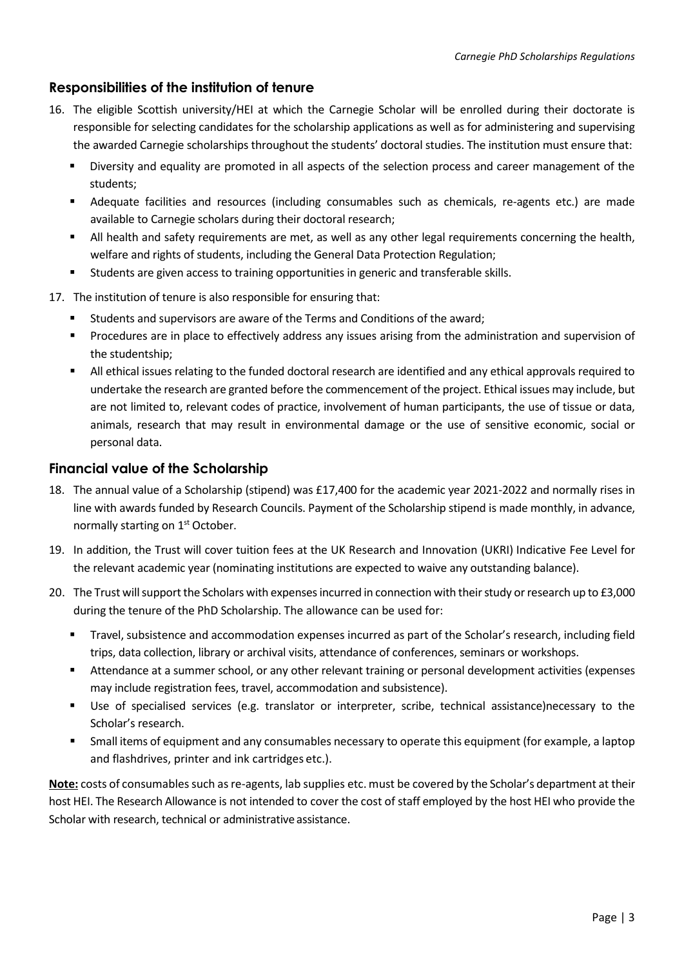#### **Responsibilities of the institution of tenure**

- 16. The eligible Scottish university/HEI at which the Carnegie Scholar will be enrolled during their doctorate is responsible for selecting candidates for the scholarship applications as well as for administering and supervising the awarded Carnegie scholarships throughout the students' doctoral studies. The institution must ensure that:
	- Diversity and equality are promoted in all aspects of the selection process and career management of the students;
	- Adequate facilities and resources (including consumables such as chemicals, re-agents etc.) are made available to Carnegie scholars during their doctoral research;
	- All health and safety requirements are met, as well as any other legal requirements concerning the health, welfare and rights of students, including the General Data Protection Regulation;
	- Students are given access to training opportunities in generic and transferable skills.
- 17. The institution of tenure is also responsible for ensuring that:
	- Students and supervisors are aware of the Terms and Conditions of the award;
	- Procedures are in place to effectively address any issues arising from the administration and supervision of the studentship;
	- All ethical issues relating to the funded doctoral research are identified and any ethical approvals required to undertake the research are granted before the commencement of the project. Ethical issues may include, but are not limited to, relevant codes of practice, involvement of human participants, the use of tissue or data, animals, research that may result in environmental damage or the use of sensitive economic, social or personal data.

#### **Financial value of the Scholarship**

- 18. The annual value of a Scholarship (stipend) was £17,400 for the academic year 2021-2022 and normally rises in line with awards funded by Research Councils. Payment of the Scholarship stipend is made monthly, in advance, normally starting on 1<sup>st</sup> October.
- 19. In addition, the Trust will cover tuition fees at the UK Research and Innovation (UKRI) Indicative Fee Level for the relevant academic year (nominating institutions are expected to waive any outstanding balance).
- 20. The Trust will support the Scholars with expenses incurred in connection with their study or research up to £3,000 during the tenure of the PhD Scholarship. The allowance can be used for:
	- Travel, subsistence and accommodation expenses incurred as part of the Scholar's research, including field trips, data collection, library or archival visits, attendance of conferences, seminars or workshops.
	- Attendance at a summer school, or any other relevant training or personal development activities (expenses may include registration fees, travel, accommodation and subsistence).
	- Use of specialised services (e.g. translator or interpreter, scribe, technical assistance)necessary to the Scholar's research.
	- Small items of equipment and any consumables necessary to operate this equipment (for example, a laptop and flashdrives, printer and ink cartridges etc.).

Note: costs of consumables such as re-agents, lab supplies etc. must be covered by the Scholar's department at their host HEI. The Research Allowance is not intended to cover the cost of staff employed by the host HEI who provide the Scholar with research, technical or administrative assistance.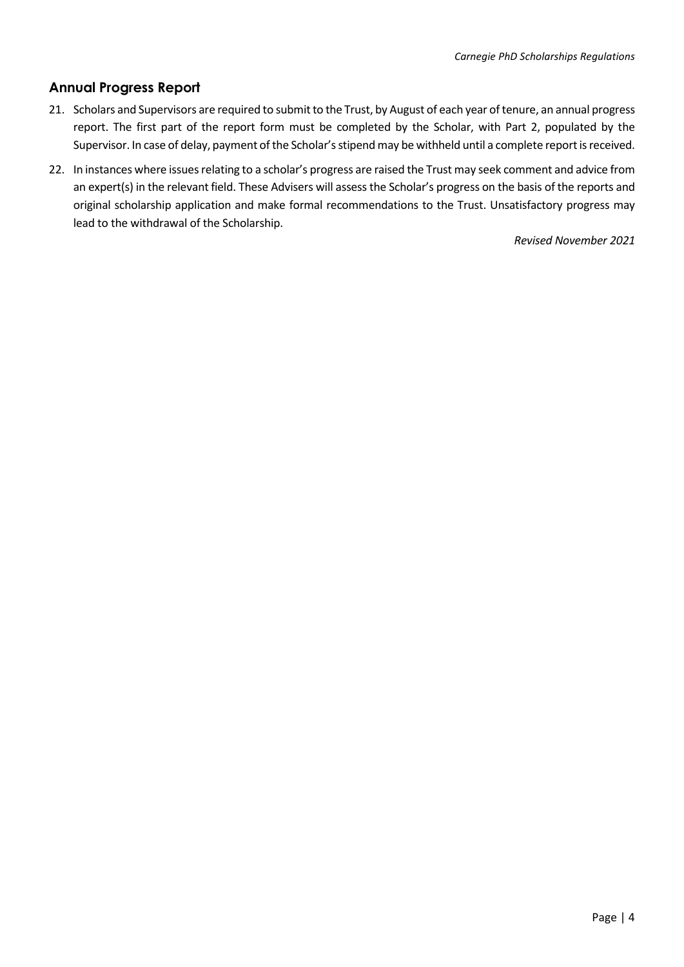## **Annual Progress Report**

- 21. Scholars and Supervisors are required to submit to the Trust, by August of each year of tenure, an annual progress report. The first part of the report form must be completed by the Scholar, with Part 2, populated by the Supervisor. In case of delay, payment of the Scholar's stipend may be withheld until a complete report is received.
- 22. In instances where issues relating to a scholar's progress are raised the Trust may seek comment and advice from an expert(s) in the relevant field. These Advisers will assess the Scholar's progress on the basis of the reports and original scholarship application and make formal recommendations to the Trust. Unsatisfactory progress may lead to the withdrawal of the Scholarship.

*Revised November 2021*